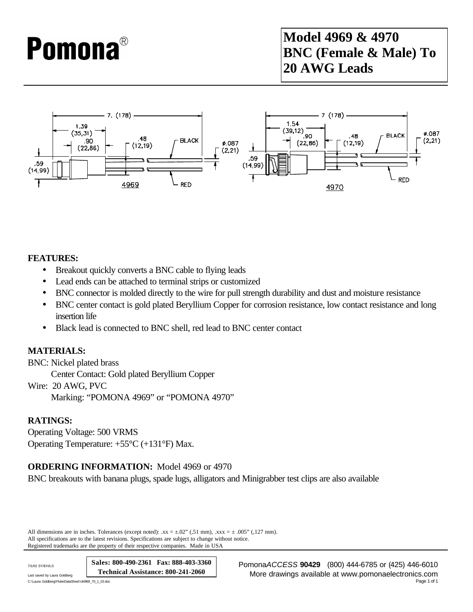# **Pomona**®

### **Model 4969 & 4970 BNC (Female & Male) To 20 AWG Leads**



#### **FEATURES:**

- Breakout quickly converts a BNC cable to flying leads
- Lead ends can be attached to terminal strips or customized
- BNC connector is molded directly to the wire for pull strength durability and dust and moisture resistance
- BNC center contact is gold plated Beryllium Copper for corrosion resistance, low contact resistance and long insertion life
- Black lead is connected to BNC shell, red lead to BNC center contact

#### **MATERIALS:**

BNC: Nickel plated brass Center Contact: Gold plated Beryllium Copper Wire: 20 AWG, PVC

Marking: "POMONA 4969" or "POMONA 4970"

#### **RATINGS:**

Operating Voltage: 500 VRMS Operating Temperature: +55°C (+131°F) Max.

#### **ORDERING INFORMATION:** Model 4969 or 4970

BNC breakouts with banana plugs, spade lugs, alligators and Minigrabber test clips are also available

All dimensions are in inches. Tolerances (except noted):  $xx = \pm .02$ " (,51 mm),  $xxx = \pm .005$ " (,127 mm). All specifications are to the latest revisions. Specifications are subject to change without notice. Registered trademarks are the property of their respective companies. Made in USA

**Sales: 800-490-2361 Fax: 888-403-3360 Technical Assistance: 800-241-2060**

C:\Laura Goldberg\FlukeDataSheet\d4969\_70\_1\_02.doc

7/1/02 SY/EH/LS Pomona*ACCESS* **90429** (800) 444-6785 or (425) 446-6010 Last saved by Laura Goldberg **Lawing Coldberg (Lawing Coldberg More drawings available at www.pomonaelectronics.com**<br>C:\Laura Goldberg\PukeDataSheet\d4969\_70\_1\_02doc Page 1 of 1